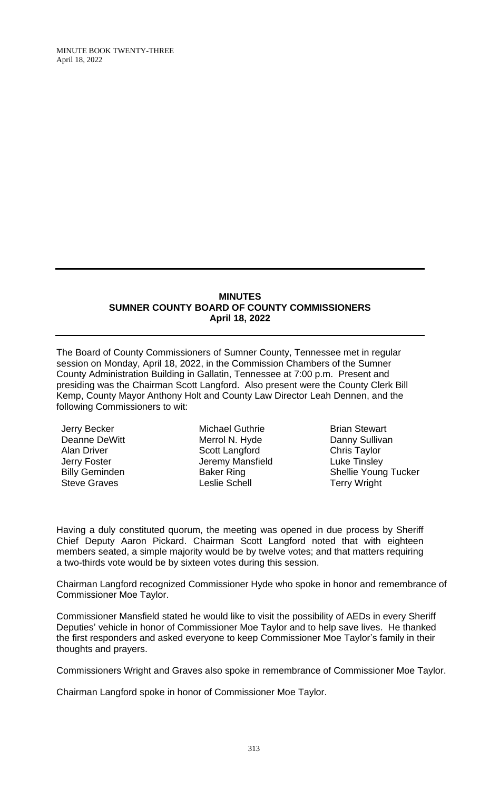#### **MINUTES SUMNER COUNTY BOARD OF COUNTY COMMISSIONERS April 18, 2022**

The Board of County Commissioners of Sumner County, Tennessee met in regular session on Monday, April 18, 2022, in the Commission Chambers of the Sumner County Administration Building in Gallatin, Tennessee at 7:00 p.m. Present and presiding was the Chairman Scott Langford. Also present were the County Clerk Bill Kemp, County Mayor Anthony Holt and County Law Director Leah Dennen, and the following Commissioners to wit:

Jerry Becker Deanne DeWitt Alan Driver Jerry Foster Billy Geminden Steve Graves

Michael Guthrie Merrol N. Hyde Scott Langford Jeremy Mansfield Baker Ring Leslie Schell

Brian Stewart Danny Sullivan Chris Taylor Luke Tinsley Shellie Young Tucker Terry Wright

Having a duly constituted quorum, the meeting was opened in due process by Sheriff Chief Deputy Aaron Pickard. Chairman Scott Langford noted that with eighteen members seated, a simple majority would be by twelve votes; and that matters requiring a two-thirds vote would be by sixteen votes during this session.

Chairman Langford recognized Commissioner Hyde who spoke in honor and remembrance of Commissioner Moe Taylor.

Commissioner Mansfield stated he would like to visit the possibility of AEDs in every Sheriff Deputies' vehicle in honor of Commissioner Moe Taylor and to help save lives. He thanked the first responders and asked everyone to keep Commissioner Moe Taylor's family in their thoughts and prayers.

Commissioners Wright and Graves also spoke in remembrance of Commissioner Moe Taylor.

Chairman Langford spoke in honor of Commissioner Moe Taylor.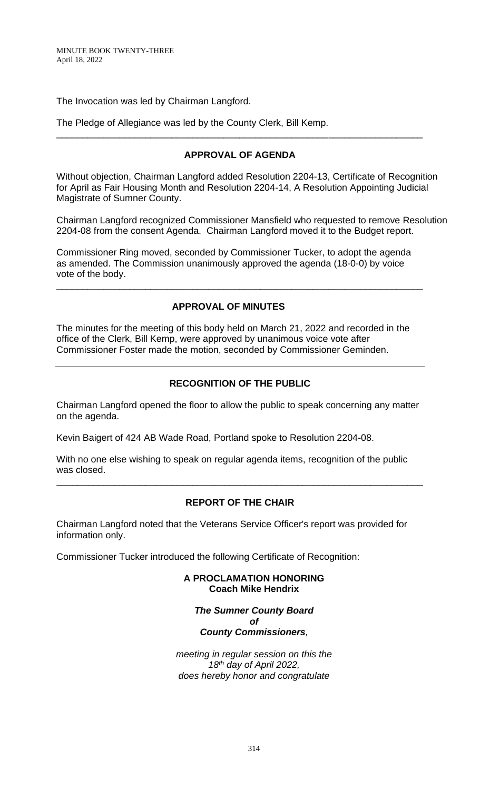The Invocation was led by Chairman Langford.

The Pledge of Allegiance was led by the County Clerk, Bill Kemp.

# **APPROVAL OF AGENDA**

\_\_\_\_\_\_\_\_\_\_\_\_\_\_\_\_\_\_\_\_\_\_\_\_\_\_\_\_\_\_\_\_\_\_\_\_\_\_\_\_\_\_\_\_\_\_\_\_\_\_\_\_\_\_\_\_\_\_\_\_\_\_\_\_\_\_\_\_\_\_

Without objection, Chairman Langford added Resolution 2204-13, Certificate of Recognition for April as Fair Housing Month and Resolution 2204-14, A Resolution Appointing Judicial Magistrate of Sumner County.

Chairman Langford recognized Commissioner Mansfield who requested to remove Resolution 2204-08 from the consent Agenda. Chairman Langford moved it to the Budget report.

Commissioner Ring moved, seconded by Commissioner Tucker, to adopt the agenda as amended. The Commission unanimously approved the agenda (18-0-0) by voice vote of the body.

\_\_\_\_\_\_\_\_\_\_\_\_\_\_\_\_\_\_\_\_\_\_\_\_\_\_\_\_\_\_\_\_\_\_\_\_\_\_\_\_\_\_\_\_\_\_\_\_\_\_\_\_\_\_\_\_\_\_\_\_\_\_\_\_\_\_\_\_\_\_

# **APPROVAL OF MINUTES**

The minutes for the meeting of this body held on March 21, 2022 and recorded in the office of the Clerk, Bill Kemp, were approved by unanimous voice vote after Commissioner Foster made the motion, seconded by Commissioner Geminden.

# **RECOGNITION OF THE PUBLIC**

Chairman Langford opened the floor to allow the public to speak concerning any matter on the agenda.

Kevin Baigert of 424 AB Wade Road, Portland spoke to Resolution 2204-08.

With no one else wishing to speak on regular agenda items, recognition of the public was closed.

## **REPORT OF THE CHAIR**

\_\_\_\_\_\_\_\_\_\_\_\_\_\_\_\_\_\_\_\_\_\_\_\_\_\_\_\_\_\_\_\_\_\_\_\_\_\_\_\_\_\_\_\_\_\_\_\_\_\_\_\_\_\_\_\_\_\_\_\_\_\_\_\_\_\_\_\_\_\_

Chairman Langford noted that the Veterans Service Officer's report was provided for information only.

Commissioner Tucker introduced the following Certificate of Recognition:

**A PROCLAMATION HONORING Coach Mike Hendrix**

*The Sumner County Board of County Commissioners,*

*meeting in regular session on this the 18th day of April 2022, does hereby honor and congratulate*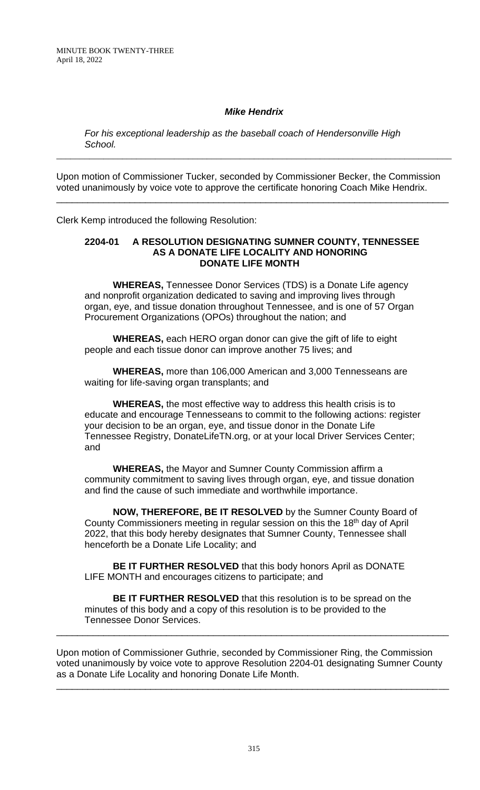## *Mike Hendrix*

\_\_\_\_\_\_\_\_\_\_\_\_\_\_\_\_\_\_\_\_\_\_\_\_\_\_\_\_\_\_\_\_\_\_\_\_\_\_\_\_\_\_\_\_\_\_\_\_\_\_\_\_\_\_\_\_\_\_\_\_\_\_\_\_\_\_\_\_\_\_\_\_\_\_\_\_\_\_\_\_\_\_\_\_

*For his exceptional leadership as the baseball coach of Hendersonville High School.*

Upon motion of Commissioner Tucker, seconded by Commissioner Becker, the Commission voted unanimously by voice vote to approve the certificate honoring Coach Mike Hendrix. \_\_\_\_\_\_\_\_\_\_\_\_\_\_\_\_\_\_\_\_\_\_\_\_\_\_\_\_\_\_\_\_\_\_\_\_\_\_\_\_\_\_\_\_\_\_\_\_\_\_\_\_\_\_\_\_\_\_\_\_\_\_\_\_\_\_\_\_\_\_\_\_\_\_\_

Clerk Kemp introduced the following Resolution:

### **2204-01 A RESOLUTION DESIGNATING SUMNER COUNTY, TENNESSEE AS A DONATE LIFE LOCALITY AND HONORING DONATE LIFE MONTH**

**WHEREAS,** Tennessee Donor Services (TDS) is a Donate Life agency and nonprofit organization dedicated to saving and improving lives through organ, eye, and tissue donation throughout Tennessee, and is one of 57 Organ Procurement Organizations (OPOs) throughout the nation; and

**WHEREAS,** each HERO organ donor can give the gift of life to eight people and each tissue donor can improve another 75 lives; and

**WHEREAS,** more than 106,000 American and 3,000 Tennesseans are waiting for life-saving organ transplants; and

**WHEREAS,** the most effective way to address this health crisis is to educate and encourage Tennesseans to commit to the following actions: register your decision to be an organ, eye, and tissue donor in the Donate Life Tennessee Registry, DonateLifeTN.org, or at your local Driver Services Center; and

**WHEREAS,** the Mayor and Sumner County Commission affirm a community commitment to saving lives through organ, eye, and tissue donation and find the cause of such immediate and worthwhile importance.

**NOW, THEREFORE, BE IT RESOLVED** by the Sumner County Board of County Commissioners meeting in regular session on this the 18<sup>th</sup> day of April 2022, that this body hereby designates that Sumner County, Tennessee shall henceforth be a Donate Life Locality; and

**BE IT FURTHER RESOLVED** that this body honors April as DONATE LIFE MONTH and encourages citizens to participate; and

**BE IT FURTHER RESOLVED** that this resolution is to be spread on the minutes of this body and a copy of this resolution is to be provided to the Tennessee Donor Services.

\_\_\_\_\_\_\_\_\_\_\_\_\_\_\_\_\_\_\_\_\_\_\_\_\_\_\_\_\_\_\_\_\_\_\_\_\_\_\_\_\_\_\_\_\_\_\_\_\_\_\_\_\_\_\_\_\_\_\_\_\_\_\_\_\_\_\_\_\_\_\_\_\_\_\_

Upon motion of Commissioner Guthrie, seconded by Commissioner Ring, the Commission voted unanimously by voice vote to approve Resolution 2204-01 designating Sumner County as a Donate Life Locality and honoring Donate Life Month.

\_\_\_\_\_\_\_\_\_\_\_\_\_\_\_\_\_\_\_\_\_\_\_\_\_\_\_\_\_\_\_\_\_\_\_\_\_\_\_\_\_\_\_\_\_\_\_\_\_\_\_\_\_\_\_\_\_\_\_\_\_\_\_\_\_\_\_\_\_\_\_\_\_\_\_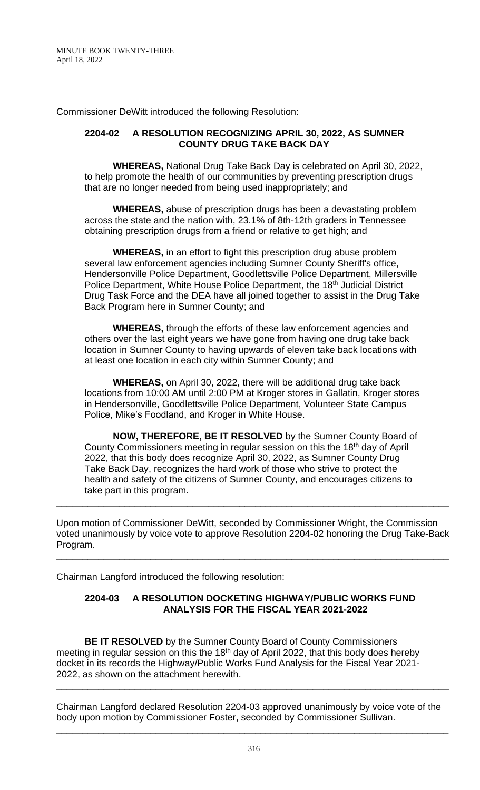Commissioner DeWitt introduced the following Resolution:

### **2204-02 A RESOLUTION RECOGNIZING APRIL 30, 2022, AS SUMNER COUNTY DRUG TAKE BACK DAY**

**WHEREAS,** National Drug Take Back Day is celebrated on April 30, 2022, to help promote the health of our communities by preventing prescription drugs that are no longer needed from being used inappropriately; and

**WHEREAS,** abuse of prescription drugs has been a devastating problem across the state and the nation with, 23.1% of 8th-12th graders in Tennessee obtaining prescription drugs from a friend or relative to get high; and

**WHEREAS,** in an effort to fight this prescription drug abuse problem several law enforcement agencies including Sumner County Sheriff's office, Hendersonville Police Department, Goodlettsville Police Department, Millersville Police Department, White House Police Department, the 18<sup>th</sup> Judicial District Drug Task Force and the DEA have all joined together to assist in the Drug Take Back Program here in Sumner County; and

**WHEREAS,** through the efforts of these law enforcement agencies and others over the last eight years we have gone from having one drug take back location in Sumner County to having upwards of eleven take back locations with at least one location in each city within Sumner County; and

**WHEREAS,** on April 30, 2022, there will be additional drug take back locations from 10:00 AM until 2:00 PM at Kroger stores in Gallatin, Kroger stores in Hendersonville, Goodlettsville Police Department, Volunteer State Campus Police, Mike's Foodland, and Kroger in White House.

**NOW, THEREFORE, BE IT RESOLVED** by the Sumner County Board of County Commissioners meeting in regular session on this the 18<sup>th</sup> day of April 2022, that this body does recognize April 30, 2022, as Sumner County Drug Take Back Day, recognizes the hard work of those who strive to protect the health and safety of the citizens of Sumner County, and encourages citizens to take part in this program.

Upon motion of Commissioner DeWitt, seconded by Commissioner Wright, the Commission voted unanimously by voice vote to approve Resolution 2204-02 honoring the Drug Take-Back Program.

\_\_\_\_\_\_\_\_\_\_\_\_\_\_\_\_\_\_\_\_\_\_\_\_\_\_\_\_\_\_\_\_\_\_\_\_\_\_\_\_\_\_\_\_\_\_\_\_\_\_\_\_\_\_\_\_\_\_\_\_\_\_\_\_\_\_\_\_\_\_\_\_\_\_\_

\_\_\_\_\_\_\_\_\_\_\_\_\_\_\_\_\_\_\_\_\_\_\_\_\_\_\_\_\_\_\_\_\_\_\_\_\_\_\_\_\_\_\_\_\_\_\_\_\_\_\_\_\_\_\_\_\_\_\_\_\_\_\_\_\_\_\_\_\_\_\_\_\_\_\_

Chairman Langford introduced the following resolution:

## **2204-03 A RESOLUTION DOCKETING HIGHWAY/PUBLIC WORKS FUND ANALYSIS FOR THE FISCAL YEAR 2021-2022**

**BE IT RESOLVED** by the Sumner County Board of County Commissioners meeting in regular session on this the 18<sup>th</sup> day of April 2022, that this body does hereby docket in its records the Highway/Public Works Fund Analysis for the Fiscal Year 2021- 2022, as shown on the attachment herewith.

Chairman Langford declared Resolution 2204-03 approved unanimously by voice vote of the body upon motion by Commissioner Foster, seconded by Commissioner Sullivan.

\_\_\_\_\_\_\_\_\_\_\_\_\_\_\_\_\_\_\_\_\_\_\_\_\_\_\_\_\_\_\_\_\_\_\_\_\_\_\_\_\_\_\_\_\_\_\_\_\_\_\_\_\_\_\_\_\_\_\_\_\_\_\_\_\_\_\_\_\_\_\_\_\_\_\_

\_\_\_\_\_\_\_\_\_\_\_\_\_\_\_\_\_\_\_\_\_\_\_\_\_\_\_\_\_\_\_\_\_\_\_\_\_\_\_\_\_\_\_\_\_\_\_\_\_\_\_\_\_\_\_\_\_\_\_\_\_\_\_\_\_\_\_\_\_\_\_\_\_\_\_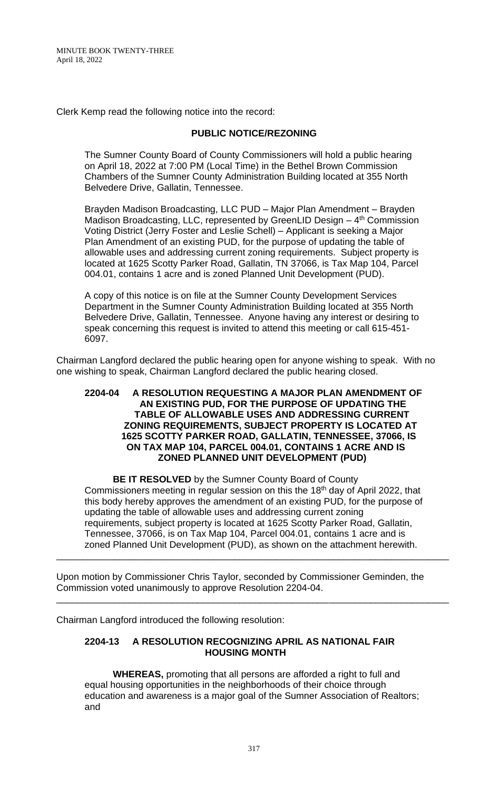Clerk Kemp read the following notice into the record:

### **PUBLIC NOTICE/REZONING**

The Sumner County Board of County Commissioners will hold a public hearing on April 18, 2022 at 7:00 PM (Local Time) in the Bethel Brown Commission Chambers of the Sumner County Administration Building located at 355 North Belvedere Drive, Gallatin, Tennessee.

Brayden Madison Broadcasting, LLC PUD – Major Plan Amendment – Brayden Madison Broadcasting, LLC, represented by GreenLID Design - 4<sup>th</sup> Commission Voting District (Jerry Foster and Leslie Schell) – Applicant is seeking a Major Plan Amendment of an existing PUD, for the purpose of updating the table of allowable uses and addressing current zoning requirements. Subject property is located at 1625 Scotty Parker Road, Gallatin, TN 37066, is Tax Map 104, Parcel 004.01, contains 1 acre and is zoned Planned Unit Development (PUD).

A copy of this notice is on file at the Sumner County Development Services Department in the Sumner County Administration Building located at 355 North Belvedere Drive, Gallatin, Tennessee. Anyone having any interest or desiring to speak concerning this request is invited to attend this meeting or call 615-451- 6097.

Chairman Langford declared the public hearing open for anyone wishing to speak. With no one wishing to speak, Chairman Langford declared the public hearing closed.

#### **2204-04 A RESOLUTION REQUESTING A MAJOR PLAN AMENDMENT OF AN EXISTING PUD, FOR THE PURPOSE OF UPDATING THE TABLE OF ALLOWABLE USES AND ADDRESSING CURRENT ZONING REQUIREMENTS, SUBJECT PROPERTY IS LOCATED AT 1625 SCOTTY PARKER ROAD, GALLATIN, TENNESSEE, 37066, IS ON TAX MAP 104, PARCEL 004.01, CONTAINS 1 ACRE AND IS ZONED PLANNED UNIT DEVELOPMENT (PUD)**

**BE IT RESOLVED** by the Sumner County Board of County Commissioners meeting in regular session on this the 18<sup>th</sup> day of April 2022, that this body hereby approves the amendment of an existing PUD, for the purpose of updating the table of allowable uses and addressing current zoning requirements, subject property is located at 1625 Scotty Parker Road, Gallatin, Tennessee, 37066, is on Tax Map 104, Parcel 004.01, contains 1 acre and is zoned Planned Unit Development (PUD), as shown on the attachment herewith.

\_\_\_\_\_\_\_\_\_\_\_\_\_\_\_\_\_\_\_\_\_\_\_\_\_\_\_\_\_\_\_\_\_\_\_\_\_\_\_\_\_\_\_\_\_\_\_\_\_\_\_\_\_\_\_\_\_\_\_\_\_\_\_\_\_\_\_\_\_\_\_\_\_\_\_

\_\_\_\_\_\_\_\_\_\_\_\_\_\_\_\_\_\_\_\_\_\_\_\_\_\_\_\_\_\_\_\_\_\_\_\_\_\_\_\_\_\_\_\_\_\_\_\_\_\_\_\_\_\_\_\_\_\_\_\_\_\_\_\_\_\_\_\_\_\_\_\_\_\_\_

Upon motion by Commissioner Chris Taylor, seconded by Commissioner Geminden, the Commission voted unanimously to approve Resolution 2204-04.

Chairman Langford introduced the following resolution:

# **2204-13 A RESOLUTION RECOGNIZING APRIL AS NATIONAL FAIR HOUSING MONTH**

**WHEREAS,** promoting that all persons are afforded a right to full and equal housing opportunities in the neighborhoods of their choice through education and awareness is a major goal of the Sumner Association of Realtors; and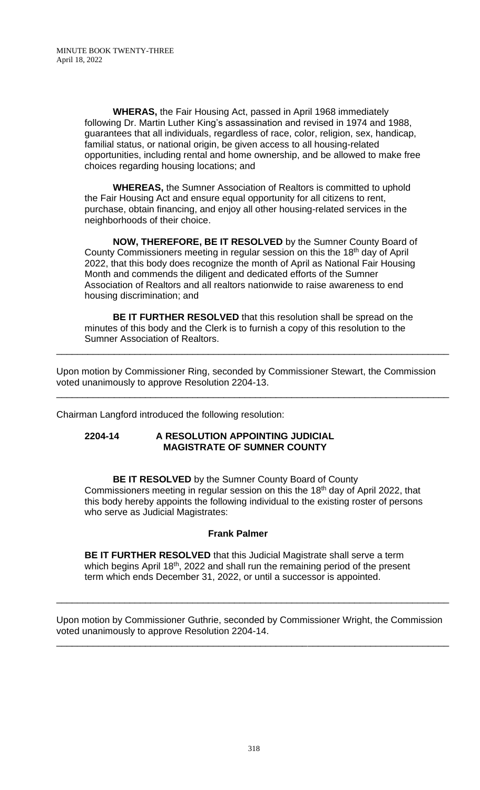**WHERAS,** the Fair Housing Act, passed in April 1968 immediately following Dr. Martin Luther King's assassination and revised in 1974 and 1988, guarantees that all individuals, regardless of race, color, religion, sex, handicap, familial status, or national origin, be given access to all housing-related opportunities, including rental and home ownership, and be allowed to make free choices regarding housing locations; and

**WHEREAS,** the Sumner Association of Realtors is committed to uphold the Fair Housing Act and ensure equal opportunity for all citizens to rent, purchase, obtain financing, and enjoy all other housing-related services in the neighborhoods of their choice.

**NOW, THEREFORE, BE IT RESOLVED** by the Sumner County Board of County Commissioners meeting in regular session on this the 18<sup>th</sup> day of April 2022, that this body does recognize the month of April as National Fair Housing Month and commends the diligent and dedicated efforts of the Sumner Association of Realtors and all realtors nationwide to raise awareness to end housing discrimination; and

**BE IT FURTHER RESOLVED** that this resolution shall be spread on the minutes of this body and the Clerk is to furnish a copy of this resolution to the Sumner Association of Realtors.

\_\_\_\_\_\_\_\_\_\_\_\_\_\_\_\_\_\_\_\_\_\_\_\_\_\_\_\_\_\_\_\_\_\_\_\_\_\_\_\_\_\_\_\_\_\_\_\_\_\_\_\_\_\_\_\_\_\_\_\_\_\_\_\_\_\_\_\_\_\_\_\_\_\_\_

\_\_\_\_\_\_\_\_\_\_\_\_\_\_\_\_\_\_\_\_\_\_\_\_\_\_\_\_\_\_\_\_\_\_\_\_\_\_\_\_\_\_\_\_\_\_\_\_\_\_\_\_\_\_\_\_\_\_\_\_\_\_\_\_\_\_\_\_\_\_\_\_\_\_\_

Upon motion by Commissioner Ring, seconded by Commissioner Stewart, the Commission voted unanimously to approve Resolution 2204-13.

Chairman Langford introduced the following resolution:

#### **2204-14 A RESOLUTION APPOINTING JUDICIAL MAGISTRATE OF SUMNER COUNTY**

**BE IT RESOLVED** by the Sumner County Board of County Commissioners meeting in regular session on this the 18<sup>th</sup> day of April 2022, that this body hereby appoints the following individual to the existing roster of persons who serve as Judicial Magistrates:

## **Frank Palmer**

**BE IT FURTHER RESOLVED** that this Judicial Magistrate shall serve a term which begins April 18<sup>th</sup>, 2022 and shall run the remaining period of the present term which ends December 31, 2022, or until a successor is appointed.

Upon motion by Commissioner Guthrie, seconded by Commissioner Wright, the Commission voted unanimously to approve Resolution 2204-14. \_\_\_\_\_\_\_\_\_\_\_\_\_\_\_\_\_\_\_\_\_\_\_\_\_\_\_\_\_\_\_\_\_\_\_\_\_\_\_\_\_\_\_\_\_\_\_\_\_\_\_\_\_\_\_\_\_\_\_\_\_\_\_\_\_\_\_\_\_\_\_\_\_\_\_

\_\_\_\_\_\_\_\_\_\_\_\_\_\_\_\_\_\_\_\_\_\_\_\_\_\_\_\_\_\_\_\_\_\_\_\_\_\_\_\_\_\_\_\_\_\_\_\_\_\_\_\_\_\_\_\_\_\_\_\_\_\_\_\_\_\_\_\_\_\_\_\_\_\_\_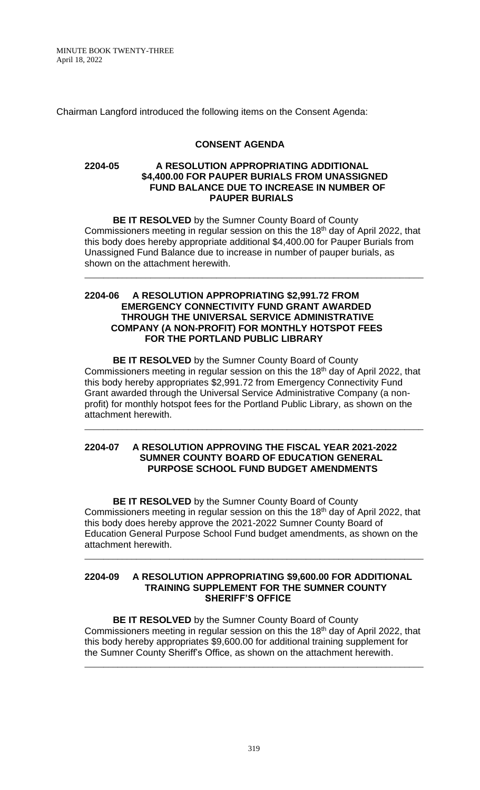Chairman Langford introduced the following items on the Consent Agenda:

### **CONSENT AGENDA**

#### **2204-05 A RESOLUTION APPROPRIATING ADDITIONAL \$4,400.00 FOR PAUPER BURIALS FROM UNASSIGNED FUND BALANCE DUE TO INCREASE IN NUMBER OF PAUPER BURIALS**

**BE IT RESOLVED** by the Sumner County Board of County Commissioners meeting in regular session on this the 18<sup>th</sup> day of April 2022, that this body does hereby appropriate additional \$4,400.00 for Pauper Burials from Unassigned Fund Balance due to increase in number of pauper burials, as shown on the attachment herewith.

\_\_\_\_\_\_\_\_\_\_\_\_\_\_\_\_\_\_\_\_\_\_\_\_\_\_\_\_\_\_\_\_\_\_\_\_\_\_\_\_\_\_\_\_\_\_\_\_\_\_\_\_\_\_\_\_\_\_\_\_\_\_\_\_\_\_\_\_\_\_\_\_

### **2204-06 A RESOLUTION APPROPRIATING \$2,991.72 FROM EMERGENCY CONNECTIVITY FUND GRANT AWARDED THROUGH THE UNIVERSAL SERVICE ADMINISTRATIVE COMPANY (A NON-PROFIT) FOR MONTHLY HOTSPOT FEES FOR THE PORTLAND PUBLIC LIBRARY**

**BE IT RESOLVED** by the Sumner County Board of County Commissioners meeting in regular session on this the 18<sup>th</sup> day of April 2022, that this body hereby appropriates \$2,991.72 from Emergency Connectivity Fund Grant awarded through the Universal Service Administrative Company (a nonprofit) for monthly hotspot fees for the Portland Public Library, as shown on the attachment herewith.

\_\_\_\_\_\_\_\_\_\_\_\_\_\_\_\_\_\_\_\_\_\_\_\_\_\_\_\_\_\_\_\_\_\_\_\_\_\_\_\_\_\_\_\_\_\_\_\_\_\_\_\_\_\_\_\_\_\_\_\_\_\_\_\_\_\_\_\_\_\_\_\_

### **2204-07 A RESOLUTION APPROVING THE FISCAL YEAR 2021-2022 SUMNER COUNTY BOARD OF EDUCATION GENERAL PURPOSE SCHOOL FUND BUDGET AMENDMENTS**

**BE IT RESOLVED** by the Sumner County Board of County Commissioners meeting in regular session on this the 18<sup>th</sup> day of April 2022, that this body does hereby approve the 2021-2022 Sumner County Board of Education General Purpose School Fund budget amendments, as shown on the attachment herewith.

\_\_\_\_\_\_\_\_\_\_\_\_\_\_\_\_\_\_\_\_\_\_\_\_\_\_\_\_\_\_\_\_\_\_\_\_\_\_\_\_\_\_\_\_\_\_\_\_\_\_\_\_\_\_\_\_\_\_\_\_\_\_\_\_\_\_\_\_\_\_\_\_

#### **2204-09 A RESOLUTION APPROPRIATING \$9,600.00 FOR ADDITIONAL TRAINING SUPPLEMENT FOR THE SUMNER COUNTY SHERIFF'S OFFICE**

**BE IT RESOLVED** by the Sumner County Board of County Commissioners meeting in regular session on this the 18<sup>th</sup> day of April 2022, that this body hereby appropriates \$9,600.00 for additional training supplement for the Sumner County Sheriff's Office, as shown on the attachment herewith.

\_\_\_\_\_\_\_\_\_\_\_\_\_\_\_\_\_\_\_\_\_\_\_\_\_\_\_\_\_\_\_\_\_\_\_\_\_\_\_\_\_\_\_\_\_\_\_\_\_\_\_\_\_\_\_\_\_\_\_\_\_\_\_\_\_\_\_\_\_\_\_\_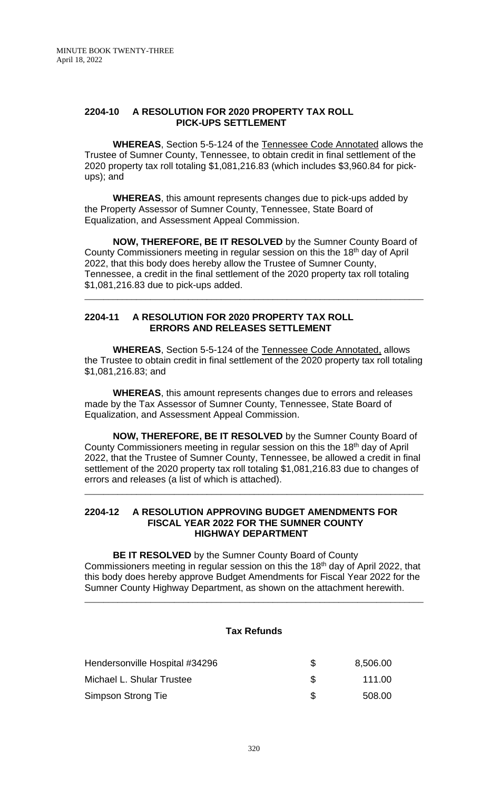#### **2204-10 A RESOLUTION FOR 2020 PROPERTY TAX ROLL PICK-UPS SETTLEMENT**

**WHEREAS**, Section 5-5-124 of the Tennessee Code Annotated allows the Trustee of Sumner County, Tennessee, to obtain credit in final settlement of the 2020 property tax roll totaling \$1,081,216.83 (which includes \$3,960.84 for pickups); and

**WHEREAS**, this amount represents changes due to pick-ups added by the Property Assessor of Sumner County, Tennessee, State Board of Equalization, and Assessment Appeal Commission.

**NOW, THEREFORE, BE IT RESOLVED** by the Sumner County Board of County Commissioners meeting in regular session on this the 18<sup>th</sup> day of April 2022, that this body does hereby allow the Trustee of Sumner County, Tennessee, a credit in the final settlement of the 2020 property tax roll totaling \$1,081,216.83 due to pick-ups added.

\_\_\_\_\_\_\_\_\_\_\_\_\_\_\_\_\_\_\_\_\_\_\_\_\_\_\_\_\_\_\_\_\_\_\_\_\_\_\_\_\_\_\_\_\_\_\_\_\_\_\_\_\_\_\_\_\_\_\_\_\_\_\_\_\_\_\_\_\_\_\_\_

### **2204-11 A RESOLUTION FOR 2020 PROPERTY TAX ROLL ERRORS AND RELEASES SETTLEMENT**

**WHEREAS**, Section 5-5-124 of the Tennessee Code Annotated, allows the Trustee to obtain credit in final settlement of the 2020 property tax roll totaling \$1,081,216.83; and

**WHEREAS**, this amount represents changes due to errors and releases made by the Tax Assessor of Sumner County, Tennessee, State Board of Equalization, and Assessment Appeal Commission.

**NOW, THEREFORE, BE IT RESOLVED** by the Sumner County Board of County Commissioners meeting in regular session on this the 18<sup>th</sup> day of April 2022, that the Trustee of Sumner County, Tennessee, be allowed a credit in final settlement of the 2020 property tax roll totaling \$1,081,216.83 due to changes of errors and releases (a list of which is attached).

\_\_\_\_\_\_\_\_\_\_\_\_\_\_\_\_\_\_\_\_\_\_\_\_\_\_\_\_\_\_\_\_\_\_\_\_\_\_\_\_\_\_\_\_\_\_\_\_\_\_\_\_\_\_\_\_\_\_\_\_\_\_\_\_\_\_\_\_\_\_\_\_

#### **2204-12 A RESOLUTION APPROVING BUDGET AMENDMENTS FOR FISCAL YEAR 2022 FOR THE SUMNER COUNTY HIGHWAY DEPARTMENT**

**BE IT RESOLVED** by the Sumner County Board of County Commissioners meeting in regular session on this the 18<sup>th</sup> day of April 2022, that this body does hereby approve Budget Amendments for Fiscal Year 2022 for the Sumner County Highway Department, as shown on the attachment herewith.

\_\_\_\_\_\_\_\_\_\_\_\_\_\_\_\_\_\_\_\_\_\_\_\_\_\_\_\_\_\_\_\_\_\_\_\_\_\_\_\_\_\_\_\_\_\_\_\_\_\_\_\_\_\_\_\_\_\_\_\_\_\_\_\_\_\_\_\_\_\_\_\_

#### **Tax Refunds**

| Hendersonville Hospital #34296 | 8,506.00 |
|--------------------------------|----------|
| Michael L. Shular Trustee      | 111.00   |
| Simpson Strong Tie             | 508.00   |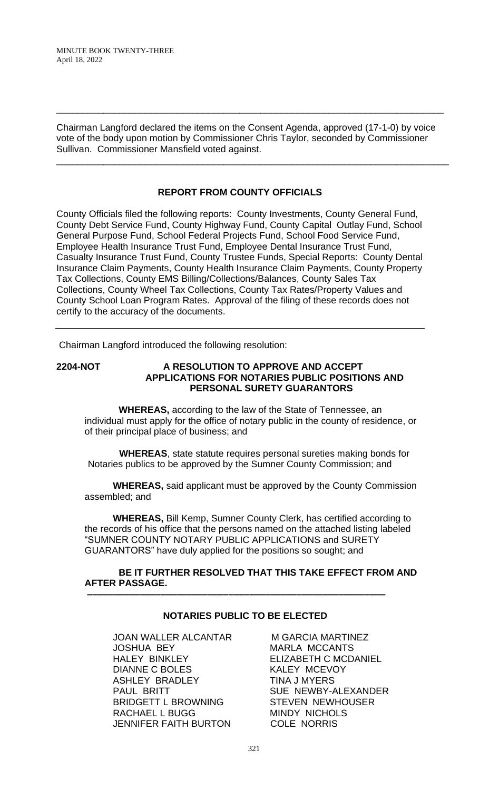Chairman Langford declared the items on the Consent Agenda, approved (17-1-0) by voice vote of the body upon motion by Commissioner Chris Taylor, seconded by Commissioner Sullivan. Commissioner Mansfield voted against.

\_\_\_\_\_\_\_\_\_\_\_\_\_\_\_\_\_\_\_\_\_\_\_\_\_\_\_\_\_\_\_\_\_\_\_\_\_\_\_\_\_\_\_\_\_\_\_\_\_\_\_\_\_\_\_\_\_\_\_\_\_\_\_\_\_\_\_\_\_\_\_\_\_\_\_

\_\_\_\_\_\_\_\_\_\_\_\_\_\_\_\_\_\_\_\_\_\_\_\_\_\_\_\_\_\_\_\_\_\_\_\_\_\_\_\_\_\_\_\_\_\_\_\_\_\_\_\_\_\_\_\_\_\_\_\_\_\_\_\_\_\_\_\_\_\_\_\_\_\_

# **REPORT FROM COUNTY OFFICIALS**

County Officials filed the following reports: County Investments, County General Fund, County Debt Service Fund, County Highway Fund, County Capital Outlay Fund, School General Purpose Fund, School Federal Projects Fund, School Food Service Fund, Employee Health Insurance Trust Fund, Employee Dental Insurance Trust Fund, Casualty Insurance Trust Fund, County Trustee Funds, Special Reports: County Dental Insurance Claim Payments, County Health Insurance Claim Payments, County Property Tax Collections, County EMS Billing/Collections/Balances, County Sales Tax Collections, County Wheel Tax Collections, County Tax Rates/Property Values and County School Loan Program Rates. Approval of the filing of these records does not certify to the accuracy of the documents.

Chairman Langford introduced the following resolution:

### **2204-NOT A RESOLUTION TO APPROVE AND ACCEPT APPLICATIONS FOR NOTARIES PUBLIC POSITIONS AND PERSONAL SURETY GUARANTORS**

 **WHEREAS,** according to the law of the State of Tennessee, an individual must apply for the office of notary public in the county of residence, or of their principal place of business; and

 **WHEREAS**, state statute requires personal sureties making bonds for Notaries publics to be approved by the Sumner County Commission; and

**WHEREAS,** said applicant must be approved by the County Commission assembled; and

**WHEREAS,** Bill Kemp, Sumner County Clerk, has certified according to the records of his office that the persons named on the attached listing labeled "SUMNER COUNTY NOTARY PUBLIC APPLICATIONS and SURETY GUARANTORS" have duly applied for the positions so sought; and

### **BE IT FURTHER RESOLVED THAT THIS TAKE EFFECT FROM AND AFTER PASSAGE.**

## **NOTARIES PUBLIC TO BE ELECTED**

 **–––––––––––––––––––––––––––––––––––––––––––––––––––––––––**

JOAN WALLER ALCANTAR MGARCIA MARTINEZ JOSHUA BEY **MARLA MCCANTS** HALEY BINKLEY ELIZABETH C MCDANIEL DIANNE C BOLES KALEY MCEVOY ASHLEY BRADLEY TINA J MYERS PAUL BRITT SUE NEWBY-ALEXANDER BRIDGETT L BROWNING STEVEN NEWHOUSER RACHAEL L BUGG MINDY NICHOLS JENNIFER FAITH BURTON COLE NORRIS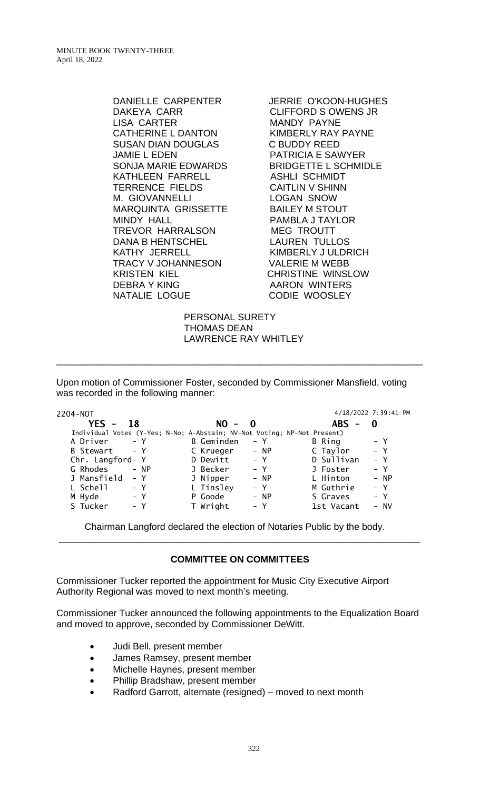> DAKEYA CARR CLIFFORD S OWENS JR LISA CARTER MANDY PAYNE CATHERINE L DANTON KIMBERLY RAY PAYNE SUSAN DIAN DOUGLAS C BUDDY REED JAMIE L EDEN PATRICIA E SAWYER SONJA MARIE EDWARDS BRIDGETTE L SCHMIDLE KATHLEEN FARRELL ASHLI SCHMIDT TERRENCE FIELDS CAITLIN V SHINN M. GIOVANNELLI LOGAN SNOW MARQUINTA GRISSETTE BAILEY M STOUT MINDY HALL PAMBLA J TAYLOR TREVOR HARRALSON MEG TROUTT DANA B HENTSCHEL LAUREN TULLOS KATHY JERRELL KIMBERLY JULDRICH TRACY V JOHANNESON VALERIE M WEBB KRISTEN KIEL CHRISTINE WINSLOW DEBRA Y KING AARON WINTERS NATALIE LOGUE **CODIE WOOSLEY**

DANIELLE CARPENTER JERRIE O'KOON-HUGHES

 PERSONAL SURETY THOMAS DEAN LAWRENCE RAY WHITLEY

\_\_\_\_\_\_\_\_\_\_\_\_\_\_\_\_\_\_\_\_\_\_\_\_\_\_\_\_\_\_\_\_\_\_\_\_\_\_\_\_\_\_\_\_\_\_\_\_\_\_\_\_\_\_\_\_\_\_\_\_\_\_\_\_\_\_\_\_\_\_

Upon motion of Commissioner Foster, seconded by Commissioner Mansfield, voting was recorded in the following manner:

| 2204-NOT                                                                 | 4/18/2022 7:39:41 PM |        |
|--------------------------------------------------------------------------|----------------------|--------|
| YES -<br>$NO - 0$<br>18                                                  | <b>ABS</b><br>0<br>- |        |
| Individual Votes (Y-Yes; N-No; A-Abstain; NV-Not Voting; NP-Not Present) |                      |        |
| <b>B</b> Geminden<br>$- Y$<br>A Driver<br>B Ring<br>– Y                  |                      | $- Y$  |
| $- Y$<br>B Stewart<br>C Krueger<br>$- NP$                                | C Taylor             | $- Y$  |
| D Sullivan<br>D Dewitt<br>Chr. Langford- Y<br>$- Y$                      |                      | $- Y$  |
| G Rhodes<br>J Becker<br>$- NP$<br>$- Y$<br>J Foster                      |                      | $- Y$  |
| J Mansfield<br>L Hinton<br>J Nipper<br>$- Y$<br>$- NP$                   |                      | $- NP$ |
| L Tinsley<br>L Schell<br>M Guthrie<br>$- Y$<br>$- Y$                     |                      | $- Y$  |
| M Hyde<br>$- Y$<br>P Goode<br>S Graves<br>$- NP$                         |                      | $- Y$  |
| S Tucker<br>T Wright<br>$- Y$<br>1st Vacant<br>– Y                       |                      | - NV   |

Chairman Langford declared the election of Notaries Public by the body. \_\_\_\_\_\_\_\_\_\_\_\_\_\_\_\_\_\_\_\_\_\_\_\_\_\_\_\_\_\_\_\_\_\_\_\_\_\_\_\_\_\_\_\_\_\_\_\_\_\_\_\_\_\_\_\_\_\_\_\_\_\_\_\_\_\_\_\_\_

## **COMMITTEE ON COMMITTEES**

Commissioner Tucker reported the appointment for Music City Executive Airport Authority Regional was moved to next month's meeting.

Commissioner Tucker announced the following appointments to the Equalization Board and moved to approve, seconded by Commissioner DeWitt.

- Judi Bell, present member
- James Ramsey, present member
- Michelle Haynes, present member
- Phillip Bradshaw, present member
- Radford Garrott, alternate (resigned) moved to next month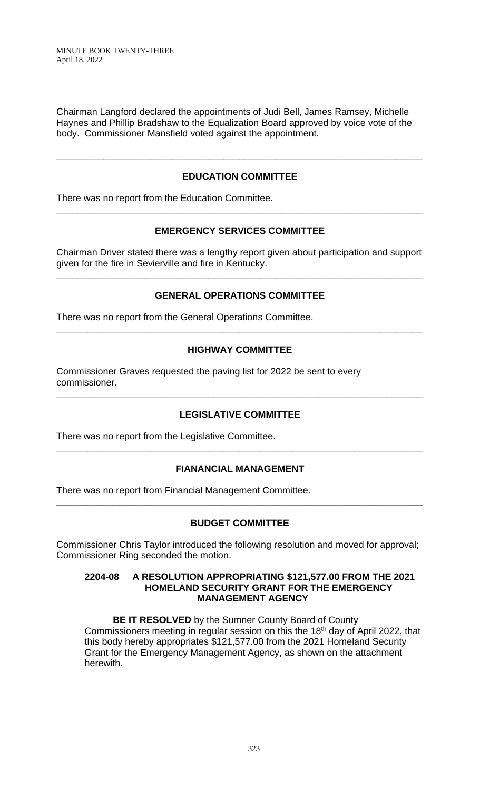Chairman Langford declared the appointments of Judi Bell, James Ramsey, Michelle Haynes and Phillip Bradshaw to the Equalization Board approved by voice vote of the body. Commissioner Mansfield voted against the appointment.

# **EDUCATION COMMITTEE**

**\_\_\_\_\_\_\_\_\_\_\_\_\_\_\_\_\_\_\_\_\_\_\_\_\_\_\_\_\_\_\_\_\_\_\_\_\_\_\_\_\_\_\_\_\_\_\_\_\_\_\_\_\_\_\_\_\_\_\_\_\_\_\_\_\_\_\_\_\_\_**

There was no report from the Education Committee.

## **EMERGENCY SERVICES COMMITTEE**

**\_\_\_\_\_\_\_\_\_\_\_\_\_\_\_\_\_\_\_\_\_\_\_\_\_\_\_\_\_\_\_\_\_\_\_\_\_\_\_\_\_\_\_\_\_\_\_\_\_\_\_\_\_\_\_\_\_\_\_\_\_\_\_\_\_\_\_\_\_\_**

Chairman Driver stated there was a lengthy report given about participation and support given for the fire in Sevierville and fire in Kentucky.

**\_\_\_\_\_\_\_\_\_\_\_\_\_\_\_\_\_\_\_\_\_\_\_\_\_\_\_\_\_\_\_\_\_\_\_\_\_\_\_\_\_\_\_\_\_\_\_\_\_\_\_\_\_\_\_\_\_\_\_\_\_\_\_\_\_\_\_\_\_\_**

## **GENERAL OPERATIONS COMMITTEE**

There was no report from the General Operations Committee.

### **HIGHWAY COMMITTEE**

**\_\_\_\_\_\_\_\_\_\_\_\_\_\_\_\_\_\_\_\_\_\_\_\_\_\_\_\_\_\_\_\_\_\_\_\_\_\_\_\_\_\_\_\_\_\_\_\_\_\_\_\_\_\_\_\_\_\_\_\_\_\_\_\_\_\_\_\_\_\_**

Commissioner Graves requested the paving list for 2022 be sent to every commissioner.

## **LEGISLATIVE COMMITTEE**

**\_\_\_\_\_\_\_\_\_\_\_\_\_\_\_\_\_\_\_\_\_\_\_\_\_\_\_\_\_\_\_\_\_\_\_\_\_\_\_\_\_\_\_\_\_\_\_\_\_\_\_\_\_\_\_\_\_\_\_\_\_\_\_\_\_\_\_\_\_\_**

There was no report from the Legislative Committee.

## **FIANANCIAL MANAGEMENT**

**\_\_\_\_\_\_\_\_\_\_\_\_\_\_\_\_\_\_\_\_\_\_\_\_\_\_\_\_\_\_\_\_\_\_\_\_\_\_\_\_\_\_\_\_\_\_\_\_\_\_\_\_\_\_\_\_\_\_\_\_\_\_\_\_\_\_\_\_\_\_**

There was no report from Financial Management Committee.

## **BUDGET COMMITTEE**

**\_\_\_\_\_\_\_\_\_\_\_\_\_\_\_\_\_\_\_\_\_\_\_\_\_\_\_\_\_\_\_\_\_\_\_\_\_\_\_\_\_\_\_\_\_\_\_\_\_\_\_\_\_\_\_\_\_\_\_\_\_\_\_\_\_\_\_\_\_\_**

Commissioner Chris Taylor introduced the following resolution and moved for approval; Commissioner Ring seconded the motion.

#### **2204-08 A RESOLUTION APPROPRIATING \$121,577.00 FROM THE 2021 HOMELAND SECURITY GRANT FOR THE EMERGENCY MANAGEMENT AGENCY**

**BE IT RESOLVED** by the Sumner County Board of County Commissioners meeting in regular session on this the 18<sup>th</sup> day of April 2022, that this body hereby appropriates \$121,577.00 from the 2021 Homeland Security Grant for the Emergency Management Agency, as shown on the attachment herewith.